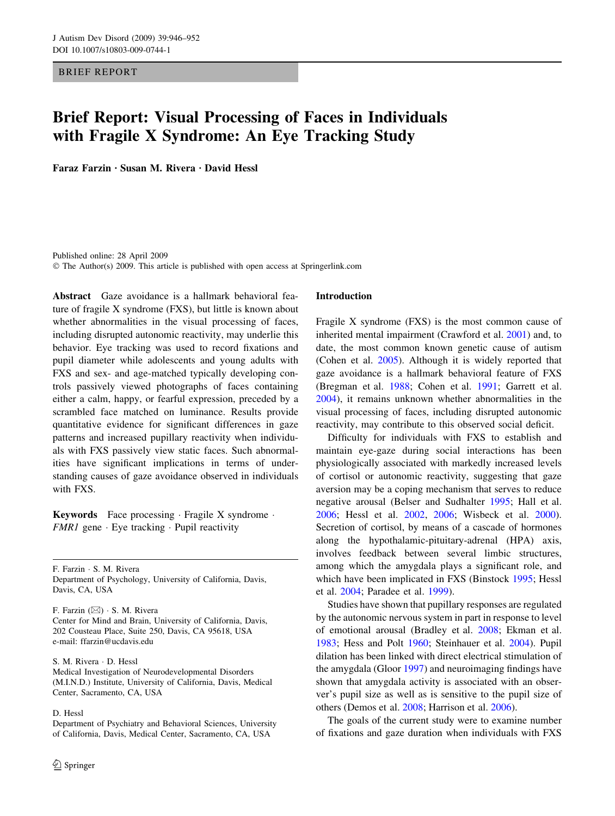BRIEF REPORT

# Brief Report: Visual Processing of Faces in Individuals with Fragile X Syndrome: An Eye Tracking Study

Faraz Farzin  $\cdot$  Susan M. Rivera  $\cdot$  David Hessl

Published online: 28 April 2009  $\odot$  The Author(s) 2009. This article is published with open access at Springerlink.com

Abstract Gaze avoidance is a hallmark behavioral feature of fragile X syndrome (FXS), but little is known about whether abnormalities in the visual processing of faces, including disrupted autonomic reactivity, may underlie this behavior. Eye tracking was used to record fixations and pupil diameter while adolescents and young adults with FXS and sex- and age-matched typically developing controls passively viewed photographs of faces containing either a calm, happy, or fearful expression, preceded by a scrambled face matched on luminance. Results provide quantitative evidence for significant differences in gaze patterns and increased pupillary reactivity when individuals with FXS passively view static faces. Such abnormalities have significant implications in terms of understanding causes of gaze avoidance observed in individuals with FXS.

**Keywords** Face processing  $\cdot$  Fragile X syndrome  $\cdot$  $FMR1$  gene  $\cdot$  Eye tracking  $\cdot$  Pupil reactivity

F. Farzin · S. M. Rivera Department of Psychology, University of California, Davis, Davis, CA, USA

F. Farzin  $(\boxtimes) \cdot$  S. M. Rivera

Center for Mind and Brain, University of California, Davis, 202 Cousteau Place, Suite 250, Davis, CA 95618, USA e-mail: ffarzin@ucdavis.edu

S. M. Rivera · D. Hessl

Medical Investigation of Neurodevelopmental Disorders (M.I.N.D.) Institute, University of California, Davis, Medical Center, Sacramento, CA, USA

D. Hessl

Department of Psychiatry and Behavioral Sciences, University of California, Davis, Medical Center, Sacramento, CA, USA

## Introduction

Fragile X syndrome (FXS) is the most common cause of inherited mental impairment (Crawford et al. [2001\)](#page-5-0) and, to date, the most common known genetic cause of autism (Cohen et al. [2005\)](#page-5-0). Although it is widely reported that gaze avoidance is a hallmark behavioral feature of FXS (Bregman et al. [1988](#page-5-0); Cohen et al. [1991](#page-5-0); Garrett et al. [2004](#page-5-0)), it remains unknown whether abnormalities in the visual processing of faces, including disrupted autonomic reactivity, may contribute to this observed social deficit.

Difficulty for individuals with FXS to establish and maintain eye-gaze during social interactions has been physiologically associated with markedly increased levels of cortisol or autonomic reactivity, suggesting that gaze aversion may be a coping mechanism that serves to reduce negative arousal (Belser and Sudhalter [1995](#page-5-0); Hall et al. [2006](#page-5-0); Hessl et al. [2002,](#page-6-0) [2006;](#page-6-0) Wisbeck et al. [2000](#page-6-0)). Secretion of cortisol, by means of a cascade of hormones along the hypothalamic-pituitary-adrenal (HPA) axis, involves feedback between several limbic structures, among which the amygdala plays a significant role, and which have been implicated in FXS (Binstock [1995](#page-5-0); Hessl et al. [2004;](#page-6-0) Paradee et al. [1999\)](#page-6-0).

Studies have shown that pupillary responses are regulated by the autonomic nervous system in part in response to level of emotional arousal (Bradley et al. [2008](#page-5-0); Ekman et al. [1983](#page-5-0); Hess and Polt [1960](#page-6-0); Steinhauer et al. [2004](#page-6-0)). Pupil dilation has been linked with direct electrical stimulation of the amygdala (Gloor [1997\)](#page-5-0) and neuroimaging findings have shown that amygdala activity is associated with an observer's pupil size as well as is sensitive to the pupil size of others (Demos et al. [2008;](#page-5-0) Harrison et al. [2006](#page-6-0)).

The goals of the current study were to examine number of fixations and gaze duration when individuals with FXS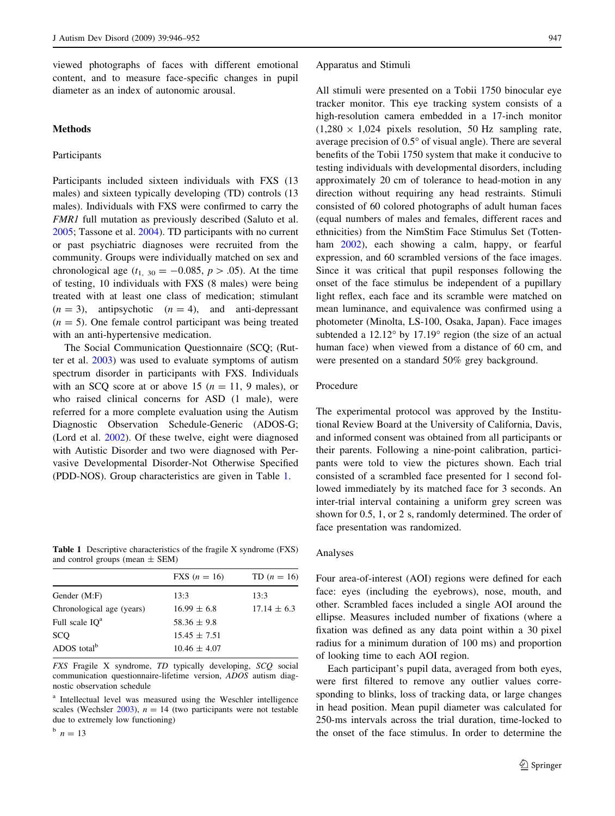viewed photographs of faces with different emotional content, and to measure face-specific changes in pupil diameter as an index of autonomic arousal.

# Methods

## Participants

Participants included sixteen individuals with FXS (13 males) and sixteen typically developing (TD) controls (13 males). Individuals with FXS were confirmed to carry the FMR1 full mutation as previously described (Saluto et al. [2005;](#page-6-0) Tassone et al. [2004](#page-6-0)). TD participants with no current or past psychiatric diagnoses were recruited from the community. Groups were individually matched on sex and chronological age  $(t_1, t_0 = -0.085, p > 0.05)$ . At the time of testing, 10 individuals with FXS (8 males) were being treated with at least one class of medication; stimulant  $(n = 3)$ , antipsychotic  $(n = 4)$ , and anti-depressant  $(n = 5)$ . One female control participant was being treated with an anti-hypertensive medication.

The Social Communication Questionnaire (SCQ; (Rutter et al. [2003](#page-6-0)) was used to evaluate symptoms of autism spectrum disorder in participants with FXS. Individuals with an SCQ score at or above 15 ( $n = 11$ , 9 males), or who raised clinical concerns for ASD (1 male), were referred for a more complete evaluation using the Autism Diagnostic Observation Schedule-Generic (ADOS-G; (Lord et al. [2002](#page-6-0)). Of these twelve, eight were diagnosed with Autistic Disorder and two were diagnosed with Pervasive Developmental Disorder-Not Otherwise Specified (PDD-NOS). Group characteristics are given in Table 1.

Table 1 Descriptive characteristics of the fragile X syndrome (FXS) and control groups (mean  $\pm$  SEM)

|                            | <b>FXS</b> $(n = 16)$ | TD $(n = 16)$   |
|----------------------------|-----------------------|-----------------|
| Gender (M:F)               | 13:3                  | 13:3            |
| Chronological age (years)  | $16.99 \pm 6.8$       | $17.14 \pm 6.3$ |
| Full scale IO <sup>a</sup> | $58.36 \pm 9.8$       |                 |
| SCO                        | $15.45 \pm 7.51$      |                 |
| ADOS total <sup>b</sup>    | $10.46 \pm 4.07$      |                 |

FXS Fragile X syndrome, TD typically developing, SCQ social communication questionnaire-lifetime version, ADOS autism diagnostic observation schedule

<sup>a</sup> Intellectual level was measured using the Weschler intelligence scales (Wechsler [2003](#page-6-0)),  $n = 14$  (two participants were not testable due to extremely low functioning)

 $h \ n = 13$ 

## Apparatus and Stimuli

All stimuli were presented on a Tobii 1750 binocular eye tracker monitor. This eye tracking system consists of a high-resolution camera embedded in a 17-inch monitor  $(1,280 \times 1,024$  pixels resolution, 50 Hz sampling rate, average precision of  $0.5^{\circ}$  of visual angle). There are several benefits of the Tobii 1750 system that make it conducive to testing individuals with developmental disorders, including approximately 20 cm of tolerance to head-motion in any direction without requiring any head restraints. Stimuli consisted of 60 colored photographs of adult human faces (equal numbers of males and females, different races and ethnicities) from the NimStim Face Stimulus Set (Totten-ham [2002](#page-6-0)), each showing a calm, happy, or fearful expression, and 60 scrambled versions of the face images. Since it was critical that pupil responses following the onset of the face stimulus be independent of a pupillary light reflex, each face and its scramble were matched on mean luminance, and equivalence was confirmed using a photometer (Minolta, LS-100, Osaka, Japan). Face images subtended a  $12.12^{\circ}$  by  $17.19^{\circ}$  region (the size of an actual human face) when viewed from a distance of 60 cm, and were presented on a standard 50% grey background.

#### Procedure

The experimental protocol was approved by the Institutional Review Board at the University of California, Davis, and informed consent was obtained from all participants or their parents. Following a nine-point calibration, participants were told to view the pictures shown. Each trial consisted of a scrambled face presented for 1 second followed immediately by its matched face for 3 seconds. An inter-trial interval containing a uniform grey screen was shown for 0.5, 1, or 2 s, randomly determined. The order of face presentation was randomized.

#### Analyses

Four area-of-interest (AOI) regions were defined for each face: eyes (including the eyebrows), nose, mouth, and other. Scrambled faces included a single AOI around the ellipse. Measures included number of fixations (where a fixation was defined as any data point within a 30 pixel radius for a minimum duration of 100 ms) and proportion of looking time to each AOI region.

Each participant's pupil data, averaged from both eyes, were first filtered to remove any outlier values corresponding to blinks, loss of tracking data, or large changes in head position. Mean pupil diameter was calculated for 250-ms intervals across the trial duration, time-locked to the onset of the face stimulus. In order to determine the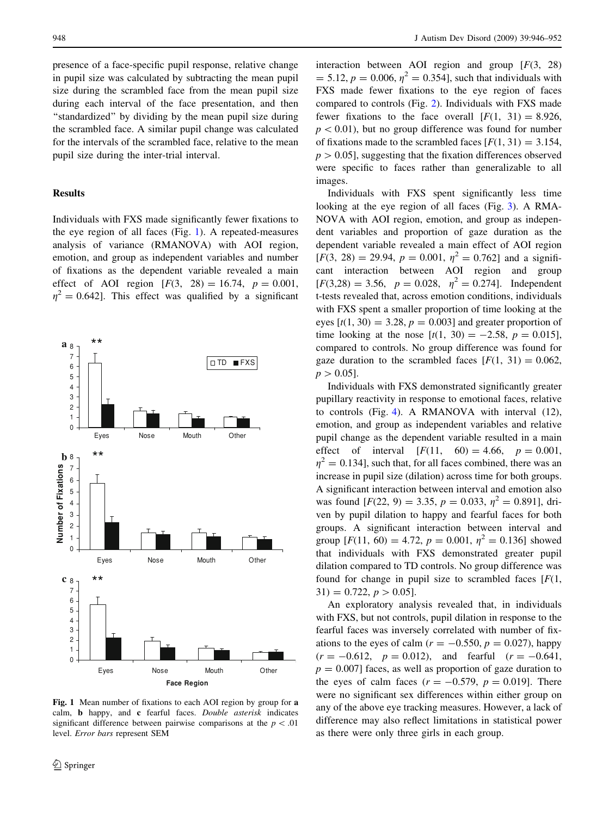presence of a face-specific pupil response, relative change in pupil size was calculated by subtracting the mean pupil size during the scrambled face from the mean pupil size during each interval of the face presentation, and then "standardized" by dividing by the mean pupil size during the scrambled face. A similar pupil change was calculated for the intervals of the scrambled face, relative to the mean pupil size during the inter-trial interval.

# Results

Individuals with FXS made significantly fewer fixations to the eye region of all faces (Fig. 1). A repeated-measures analysis of variance (RMANOVA) with AOI region, emotion, and group as independent variables and number of fixations as the dependent variable revealed a main effect of AOI region  $[F(3, 28) = 16.74, p = 0.001,$  $\eta^2 = 0.642$ . This effect was qualified by a significant



Fig. 1 Mean number of fixations to each AOI region by group for a calm, b happy, and c fearful faces. Double asterisk indicates significant difference between pairwise comparisons at the  $p < .01$ level. Error bars represent SEM

interaction between AOI region and group  $[F(3, 28)]$  $= 5.12, p = 0.006, \eta^2 = 0.354$ , such that individuals with FXS made fewer fixations to the eye region of faces compared to controls (Fig. [2\)](#page-3-0). Individuals with FXS made fewer fixations to the face overall  $[F(1, 31) = 8.926$ .  $p\lt0.01$ , but no group difference was found for number of fixations made to the scrambled faces  $[F(1, 31) = 3.154]$ .  $p > 0.05$ , suggesting that the fixation differences observed were specific to faces rather than generalizable to all images.

Individuals with FXS spent significantly less time looking at the eye region of all faces (Fig. [3\)](#page-4-0). A RMA-NOVA with AOI region, emotion, and group as independent variables and proportion of gaze duration as the dependent variable revealed a main effect of AOI region  $[F(3, 28) = 29.94, p = 0.001, \eta^2 = 0.762]$  and a significant interaction between AOI region and group  $[F(3,28) = 3.56, p = 0.028, \eta^2 = 0.274]$ . Independent t-tests revealed that, across emotion conditions, individuals with FXS spent a smaller proportion of time looking at the eyes  $[t(1, 30) = 3.28, p = 0.003]$  and greater proportion of time looking at the nose  $[t(1, 30) = -2.58, p = 0.015]$ , compared to controls. No group difference was found for gaze duration to the scrambled faces  $[F(1, 31) = 0.062]$ ,  $p > 0.05$ ].

Individuals with FXS demonstrated significantly greater pupillary reactivity in response to emotional faces, relative to controls (Fig. [4\)](#page-4-0). A RMANOVA with interval (12), emotion, and group as independent variables and relative pupil change as the dependent variable resulted in a main effect of interval  $[F(11, 60) = 4.66, p = 0.001,$  $\eta^2 = 0.134$ , such that, for all faces combined, there was an increase in pupil size (dilation) across time for both groups. A significant interaction between interval and emotion also was found  $[F(22, 9) = 3.35, p = 0.033, \eta^2 = 0.891]$ , driven by pupil dilation to happy and fearful faces for both groups. A significant interaction between interval and group  $[F(11, 60) = 4.72, p = 0.001, \eta^2 = 0.136]$  showed that individuals with FXS demonstrated greater pupil dilation compared to TD controls. No group difference was found for change in pupil size to scrambled faces  $[F(1,$  $31) = 0.722, p > 0.05$ .

An exploratory analysis revealed that, in individuals with FXS, but not controls, pupil dilation in response to the fearful faces was inversely correlated with number of fixations to the eyes of calm ( $r = -0.550$ ,  $p = 0.027$ ), happy  $(r = -0.612, p = 0.012)$ , and fearful  $(r = -0.641,$  $p = 0.007$  faces, as well as proportion of gaze duration to the eyes of calm faces  $(r = -0.579, p = 0.019)$ . There were no significant sex differences within either group on any of the above eye tracking measures. However, a lack of difference may also reflect limitations in statistical power as there were only three girls in each group.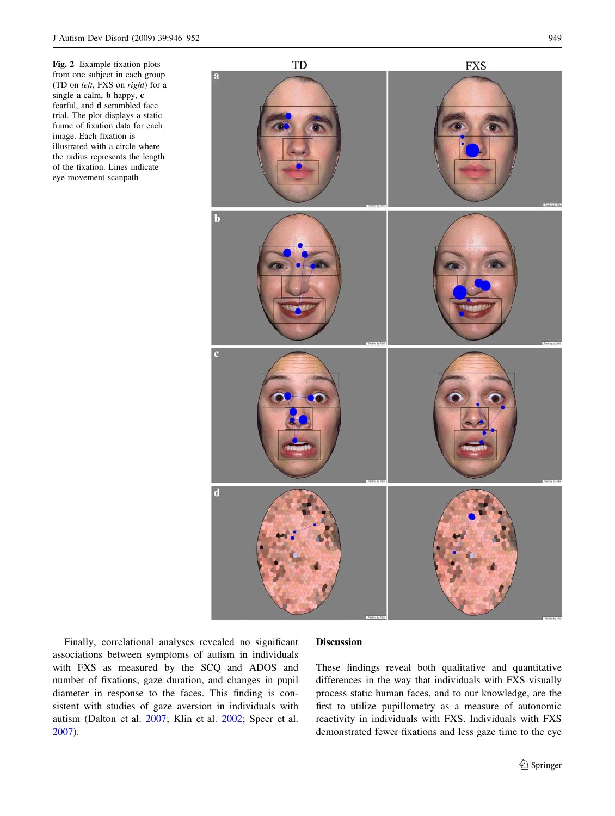<span id="page-3-0"></span>Fig. 2 Example fixation plots from one subject in each group (TD on left, FXS on right) for a single a calm, b happy, c fearful, and d scrambled face trial. The plot displays a static frame of fixation data for each image. Each fixation is illustrated with a circle where the radius represents the length of the fixation. Lines indicate eye movement scanpath



Finally, correlational analyses revealed no significant associations between symptoms of autism in individuals with FXS as measured by the SCQ and ADOS and number of fixations, gaze duration, and changes in pupil diameter in response to the faces. This finding is consistent with studies of gaze aversion in individuals with autism (Dalton et al. [2007](#page-5-0); Klin et al. [2002;](#page-6-0) Speer et al. [2007\)](#page-6-0).

# Discussion

These findings reveal both qualitative and quantitative differences in the way that individuals with FXS visually process static human faces, and to our knowledge, are the first to utilize pupillometry as a measure of autonomic reactivity in individuals with FXS. Individuals with FXS demonstrated fewer fixations and less gaze time to the eye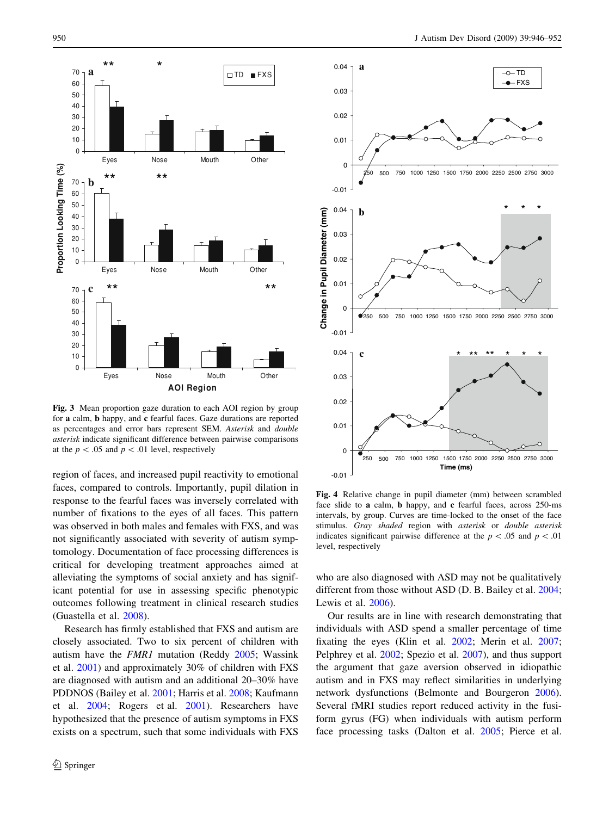<span id="page-4-0"></span>

Fig. 3 Mean proportion gaze duration to each AOI region by group for a calm, b happy, and c fearful faces. Gaze durations are reported as percentages and error bars represent SEM. Asterisk and double asterisk indicate significant difference between pairwise comparisons at the  $p$  < .05 and  $p$  < .01 level, respectively

region of faces, and increased pupil reactivity to emotional faces, compared to controls. Importantly, pupil dilation in response to the fearful faces was inversely correlated with number of fixations to the eyes of all faces. This pattern was observed in both males and females with FXS, and was not significantly associated with severity of autism symptomology. Documentation of face processing differences is critical for developing treatment approaches aimed at alleviating the symptoms of social anxiety and has significant potential for use in assessing specific phenotypic outcomes following treatment in clinical research studies (Guastella et al. [2008](#page-5-0)).

Research has firmly established that FXS and autism are closely associated. Two to six percent of children with autism have the FMR1 mutation (Reddy [2005](#page-6-0); Wassink et al. [2001\)](#page-6-0) and approximately 30% of children with FXS are diagnosed with autism and an additional 20–30% have PDDNOS (Bailey et al. [2001;](#page-5-0) Harris et al. [2008;](#page-6-0) Kaufmann et al. [2004](#page-6-0); Rogers et al. [2001\)](#page-6-0). Researchers have hypothesized that the presence of autism symptoms in FXS exists on a spectrum, such that some individuals with FXS



Fig. 4 Relative change in pupil diameter (mm) between scrambled face slide to a calm, b happy, and c fearful faces, across 250-ms intervals, by group. Curves are time-locked to the onset of the face stimulus. Gray shaded region with asterisk or double asterisk indicates significant pairwise difference at the  $p\lt 0.05$  and  $p\lt 0.01$ level, respectively

who are also diagnosed with ASD may not be qualitatively different from those without ASD (D. B. Bailey et al. [2004](#page-5-0); Lewis et al. [2006\)](#page-6-0).

Our results are in line with research demonstrating that individuals with ASD spend a smaller percentage of time fixating the eyes (Klin et al. [2002;](#page-6-0) Merin et al. [2007](#page-6-0); Pelphrey et al. [2002](#page-6-0); Spezio et al. [2007\)](#page-6-0), and thus support the argument that gaze aversion observed in idiopathic autism and in FXS may reflect similarities in underlying network dysfunctions (Belmonte and Bourgeron [2006](#page-5-0)). Several fMRI studies report reduced activity in the fusiform gyrus (FG) when individuals with autism perform face processing tasks (Dalton et al. [2005](#page-5-0); Pierce et al.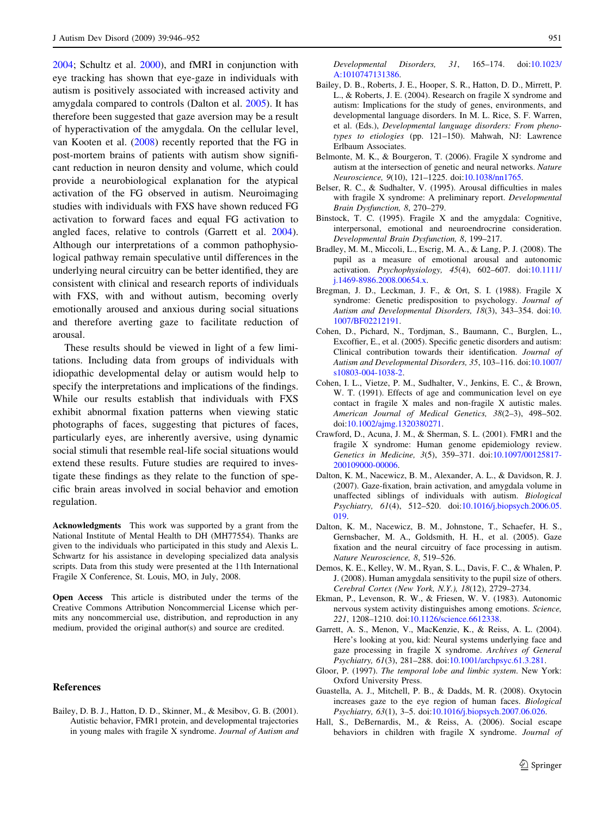<span id="page-5-0"></span>[2004;](#page-6-0) Schultz et al. [2000\)](#page-6-0), and fMRI in conjunction with eye tracking has shown that eye-gaze in individuals with autism is positively associated with increased activity and amygdala compared to controls (Dalton et al. 2005). It has therefore been suggested that gaze aversion may be a result of hyperactivation of the amygdala. On the cellular level, van Kooten et al. [\(2008](#page-6-0)) recently reported that the FG in post-mortem brains of patients with autism show significant reduction in neuron density and volume, which could provide a neurobiological explanation for the atypical activation of the FG observed in autism. Neuroimaging studies with individuals with FXS have shown reduced FG activation to forward faces and equal FG activation to angled faces, relative to controls (Garrett et al. 2004). Although our interpretations of a common pathophysiological pathway remain speculative until differences in the underlying neural circuitry can be better identified, they are consistent with clinical and research reports of individuals with FXS, with and without autism, becoming overly emotionally aroused and anxious during social situations and therefore averting gaze to facilitate reduction of arousal.

These results should be viewed in light of a few limitations. Including data from groups of individuals with idiopathic developmental delay or autism would help to specify the interpretations and implications of the findings. While our results establish that individuals with FXS exhibit abnormal fixation patterns when viewing static photographs of faces, suggesting that pictures of faces, particularly eyes, are inherently aversive, using dynamic social stimuli that resemble real-life social situations would extend these results. Future studies are required to investigate these findings as they relate to the function of specific brain areas involved in social behavior and emotion regulation.

Acknowledgments This work was supported by a grant from the National Institute of Mental Health to DH (MH77554). Thanks are given to the individuals who participated in this study and Alexis L. Schwartz for his assistance in developing specialized data analysis scripts. Data from this study were presented at the 11th International Fragile X Conference, St. Louis, MO, in July, 2008.

Open Access This article is distributed under the terms of the Creative Commons Attribution Noncommercial License which permits any noncommercial use, distribution, and reproduction in any medium, provided the original author(s) and source are credited.

## References

Bailey, D. B. J., Hatton, D. D., Skinner, M., & Mesibov, G. B. (2001). Autistic behavior, FMR1 protein, and developmental trajectories in young males with fragile X syndrome. Journal of Autism and Developmental Disorders, 31, 165–174. doi[:10.1023/](http://dx.doi.org/10.1023/A:1010747131386) [A:1010747131386.](http://dx.doi.org/10.1023/A:1010747131386)

- Bailey, D. B., Roberts, J. E., Hooper, S. R., Hatton, D. D., Mirrett, P. L., & Roberts, J. E. (2004). Research on fragile X syndrome and autism: Implications for the study of genes, environments, and developmental language disorders. In M. L. Rice, S. F. Warren, et al. (Eds.), Developmental language disorders: From phenotypes to etiologies (pp. 121–150). Mahwah, NJ: Lawrence Erlbaum Associates.
- Belmonte, M. K., & Bourgeron, T. (2006). Fragile X syndrome and autism at the intersection of genetic and neural networks. Nature Neuroscience, 9(10), 121–1225. doi:[10.1038/nn1765.](http://dx.doi.org/10.1038/nn1765)
- Belser, R. C., & Sudhalter, V. (1995). Arousal difficulties in males with fragile X syndrome: A preliminary report. Developmental Brain Dysfunction, 8, 270–279.
- Binstock, T. C. (1995). Fragile X and the amygdala: Cognitive, interpersonal, emotional and neuroendrocrine consideration. Developmental Brain Dysfunction, 8, 199–217.
- Bradley, M. M., Miccoli, L., Escrig, M. A., & Lang, P. J. (2008). The pupil as a measure of emotional arousal and autonomic activation. Psychophysiology, 45(4), 602–607. doi[:10.1111/](http://dx.doi.org/10.1111/j.1469-8986.2008.00654.x) [j.1469-8986.2008.00654.x](http://dx.doi.org/10.1111/j.1469-8986.2008.00654.x).
- Bregman, J. D., Leckman, J. F., & Ort, S. I. (1988). Fragile X syndrome: Genetic predisposition to psychology. Journal of Autism and Developmental Disorders, 18(3), 343-354. doi:[10.](http://dx.doi.org/10.1007/BF02212191) [1007/BF02212191.](http://dx.doi.org/10.1007/BF02212191)
- Cohen, D., Pichard, N., Tordjman, S., Baumann, C., Burglen, L., Excoffier, E., et al. (2005). Specific genetic disorders and autism: Clinical contribution towards their identification. Journal of Autism and Developmental Disorders, 35, 103–116. doi[:10.1007/](http://dx.doi.org/10.1007/s10803-004-1038-2) [s10803-004-1038-2.](http://dx.doi.org/10.1007/s10803-004-1038-2)
- Cohen, I. L., Vietze, P. M., Sudhalter, V., Jenkins, E. C., & Brown, W. T. (1991). Effects of age and communication level on eye contact in fragile X males and non-fragile X autistic males. American Journal of Medical Genetics, 38(2–3), 498–502. doi[:10.1002/ajmg.1320380271.](http://dx.doi.org/10.1002/ajmg.1320380271)
- Crawford, D., Acuna, J. M., & Sherman, S. L. (2001). FMR1 and the fragile X syndrome: Human genome epidemiology review. Genetics in Medicine, 3(5), 359–371. doi:[10.1097/00125817-](http://dx.doi.org/10.1097/00125817-200109000-00006) [200109000-00006](http://dx.doi.org/10.1097/00125817-200109000-00006).
- Dalton, K. M., Nacewicz, B. M., Alexander, A. L., & Davidson, R. J. (2007). Gaze-fixation, brain activation, and amygdala volume in unaffected siblings of individuals with autism. Biological Psychiatry, 61(4), 512–520. doi[:10.1016/j.biopsych.2006.05.](http://dx.doi.org/10.1016/j.biopsych.2006.05.019) [019.](http://dx.doi.org/10.1016/j.biopsych.2006.05.019)
- Dalton, K. M., Nacewicz, B. M., Johnstone, T., Schaefer, H. S., Gernsbacher, M. A., Goldsmith, H. H., et al. (2005). Gaze fixation and the neural circuitry of face processing in autism. Nature Neuroscience, 8, 519–526.
- Demos, K. E., Kelley, W. M., Ryan, S. L., Davis, F. C., & Whalen, P. J. (2008). Human amygdala sensitivity to the pupil size of others. Cerebral Cortex (New York, N.Y.), 18(12), 2729–2734.
- Ekman, P., Levenson, R. W., & Friesen, W. V. (1983). Autonomic nervous system activity distinguishes among emotions. Science, 221, 1208–1210. doi[:10.1126/science.6612338.](http://dx.doi.org/10.1126/science.6612338)
- Garrett, A. S., Menon, V., MacKenzie, K., & Reiss, A. L. (2004). Here's looking at you, kid: Neural systems underlying face and gaze processing in fragile X syndrome. Archives of General Psychiatry, 61(3), 281–288. doi:[10.1001/archpsyc.61.3.281](http://dx.doi.org/10.1001/archpsyc.61.3.281).
- Gloor, P. (1997). The temporal lobe and limbic system. New York: Oxford University Press.
- Guastella, A. J., Mitchell, P. B., & Dadds, M. R. (2008). Oxytocin increases gaze to the eye region of human faces. Biological Psychiatry, 63(1), 3–5. doi:[10.1016/j.biopsych.2007.06.026](http://dx.doi.org/10.1016/j.biopsych.2007.06.026).
- Hall, S., DeBernardis, M., & Reiss, A. (2006). Social escape behaviors in children with fragile X syndrome. Journal of